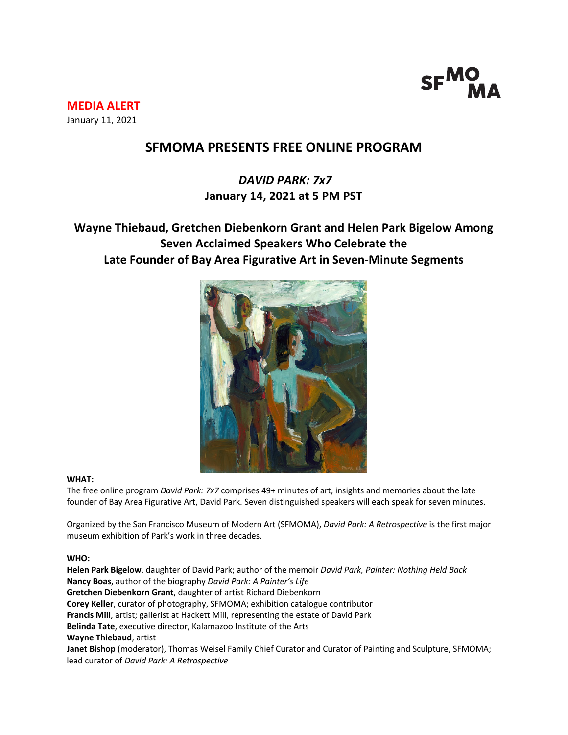

**MEDIA ALERT** January 11, 2021

## **SFMOMA PRESENTS FREE ONLINE PROGRAM**

# *DAVID PARK: 7x7* **January 14, 2021 at 5 PM PST**

## **Wayne Thiebaud, Gretchen Diebenkorn Grant and Helen Park Bigelow Among Seven Acclaimed Speakers Who Celebrate the Late Founder of Bay Area Figurative Art in Seven-Minute Segments**



### **WHAT:**

The free online program *David Park: 7x7* comprises 49+ minutes of art, insights and memories about the late founder of Bay Area Figurative Art, David Park. Seven distinguished speakers will each speak for seven minutes.

Organized by the San Francisco Museum of Modern Art (SFMOMA), *David Park: A Retrospective* is the first major museum exhibition of Park's work in three decades.

#### **WHO:**

**Helen Park Bigelow**, daughter of David Park; author of the memoir *David Park, Painter: Nothing Held Back* **Nancy Boas**, author of the biography *David Park: A Painter's Life* **Gretchen Diebenkorn Grant**, daughter of artist Richard Diebenkorn **Corey Keller**, curator of photography, SFMOMA; exhibition catalogue contributor **Francis Mill**, artist; gallerist at Hackett Mill, representing the estate of David Park **Belinda Tate**, executive director, Kalamazoo Institute of the Arts **Wayne Thiebaud**, artist **Janet Bishop** (moderator), Thomas Weisel Family Chief Curator and Curator of Painting and Sculpture, SFMOMA; lead curator of *David Park: A Retrospective*